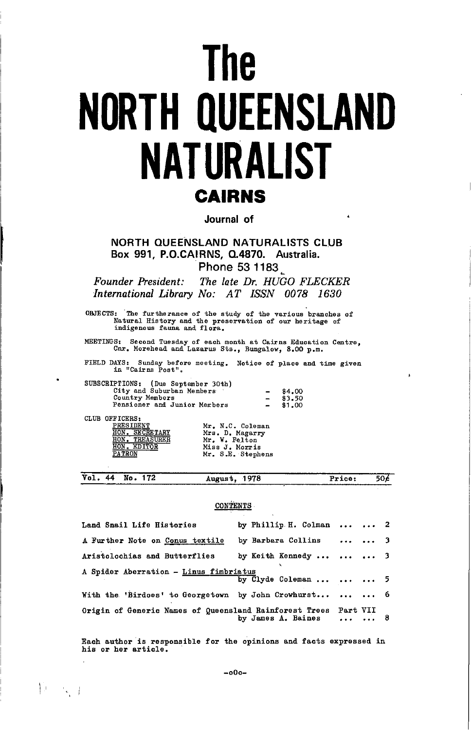# **The NORTH QUEENSLAND NATURALIST CAIRNS**

Journal of

NORTH QUEENSLAND NATURALISTS CLUB Box 991, P.O.CAIRNS, Q.4870. Australia. Phone 53 1183

The late Dr. HUGO FLECKER Founder President: International Library No: AT ISSN 0078 1630

ORJECTS: The furtherance of the study of the various branches of Natural History and the preservation of our heritage of indigenous fauna and flora.

MEETINGS: Second Tuesday of each month at Cairns Education Centre, Car. Morehead and Lazarus Sts., Bungalow, 8.00 p.m.

FIELD DAYS: Sunday before meeting. Notice of place and time given<br>in "Cairns Post".

| SUBSCRIPTIONS: (Due September 30th) |                              |        |
|-------------------------------------|------------------------------|--------|
| City and Suburban Members           |                              | \$4.00 |
| Country Members                     | $\qquad \qquad \blacksquare$ | \$3.50 |
| Pensioner and Junior Members        | $\overline{\phantom{0}}$     | \$1,00 |

CLUB OFFICERS:

 $\{1,\ldots,n\}$ 

|                | PRESIDENT        |  |
|----------------|------------------|--|
| HON.           | <b>SECRETARY</b> |  |
| HON.           | <b>TREASURER</b> |  |
| HON.           | EDITOR           |  |
| <b>PA TRON</b> |                  |  |

Mr. N.C. Coleman Mr. N.C. Coleman<br>Mrs. D. Magarry<br>Mr. W. Felton<br>Miss J. Morris<br>Mr. S.E. Stephens

| Vol. 44 No. 172 |  | August, 1978 | Price: | 50£ |  |
|-----------------|--|--------------|--------|-----|--|
|                 |  |              |        |     |  |

# **CONTENTS**

| Land Snail Life Histories                              | by Phillip H. Colman   2 |          |  |
|--------------------------------------------------------|--------------------------|----------|--|
| A Further Note on Conus textile                        | by Barbara Collins   3   |          |  |
| Aristolochias and Butterflies                          | by Keith Kennedy    3    |          |  |
| A Spider Aberration - Linus fimbriatus                 | by Clyde Coleman    5    |          |  |
| With the 'Birdoes' to Georgetown by John Crowhurst   6 |                          |          |  |
| Origin of Generic Names of Oueensland Rainforest Trees | by James A. Baines   8   | Part VII |  |

Each author is responsible for the opinions and facts expressed in his or her article.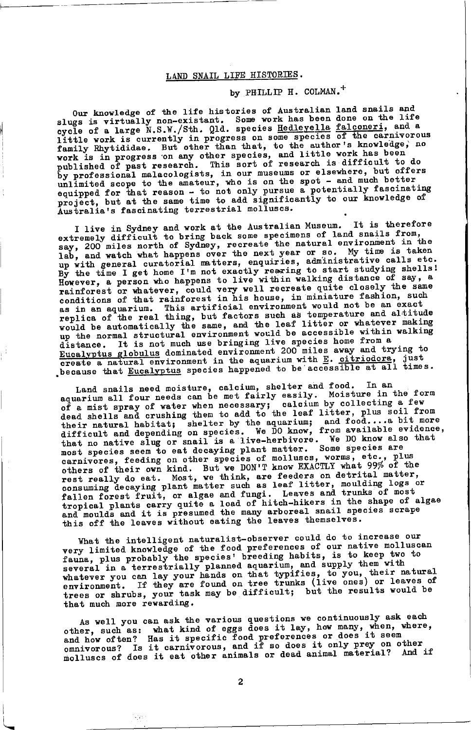# LAND SNAIL LIFE HISTORIES.

# by PHILLIP H. COLMAN.<sup>+</sup>

Our knowledge of the life histories of Australian land snails and slugs is virtually non-existant. Some work has been done on the life cycle of a large N.S.W./Sth. Qld. species Hedleyella falconeri, and a little work is currently in progress on some species of the carnivorous family Rhytididae. But other than that, to the author's knowledge, no<br>work is in progress on any other species, and little work has been<br>published of past research. This sort of research is difficult to do by professional malacologists, in our museums or elsewhere, but offers unlimited scope to the amateur, who is on the spot - and much better equipped for that reason - to not only pursue a potentially fascinating project, but at the same time to add significantly to our knowledge of Australia's fascinating terrestrial molluscs.

I live in Sydney and work at the Australian Museum. It is therefore<br>extremely difficult to bring back some specimens of land snails from, say, 200 miles north of Sydney, recreate the natural environment in the lab, and watch what happens over the next year or so. My time is taken up with general curatorial matters, enquiries, administrative calls etc. my with general curatural mateurs, enquiries, and instant we calls etc.<br>By the time I get home I'm not exactly rearing to start studying shells!<br>However, a person who happens to live within walking distance of say, a<br>rainf conditions of that rainforest in his house, in miniature fashion, such as in an aquarium. This artificial environment would not be an exact replica of the real thing, but factors such as temperature and altitude would be automatically the same, and the leaf litter or whatever making up the normal structural environment would be accessible within walking distance. It is not much use bringing live species home from a Eucalyptus globulus dominated environment 200 miles away and trying to create a natural environment in the aquarium with E. citricdors, just because that Eucalyptus species happened to be accessible at all times.

Land snails need moisture, calcium, shelter and food. In an aquarium all four needs can be met fairly easily. Moisture in the form of a mist spray of water when necessary; calcium by collecting a few<br>dead shells and crushing them to add to the leaf litter, plus soil from their natural habitat; shelter by the aquarium; and food....a bit more difficult and depending on species. We DO know, from available evidence, that no native slug or snail is a live-herbivore. We DO know also that most species seem to eat decaying plant matter. Some species are most species seem to eat decaying prain matter. Some species, plus<br>carnivores, feeding on other species of molluscs, worms, etc., plus<br>others of their own kind. But we DON'T know EXACTLY what 99% of the<br>rest really do eat. fallen forest fruit, or algae and fungi. Leaves and trunks of most tropical plants carry quite a load of hitch-hikers in the shape of algae and moulds and it is presumed the many arboreal snail species scrape<br>this off the leaves without eating the leaves themselves.

What the intelligent naturalist-observer could do to increase our very limited knowledge of the food preferences of our native molluscan fauna, plus probably the species' breeding habits, is to keep two to several in a terrestrially planned aquarium, and supply them with<br>whatever you can lay your hands on that typifies, to you, their natural<br>environment. If they are found on tree trunks (live ones) or leaves of<br>trees or shru that much more rewarding.

As well you can ask the various questions we continuously ask each<br>other, such as: what kind of eggs does it lay, how many, when, where,<br>and how often? Has it specific food preferences or does it seem<br>omnivorous? Is it car molluscs of does it eat other animals or dead animal material?

is yen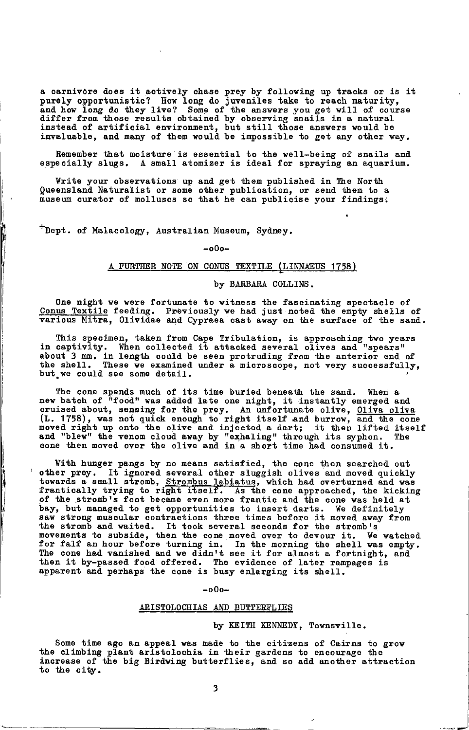a carnivore does it actively chase prey by following up tracks or is it purely opportunistic? How long do juveniles take to reach maturity, and how long do they live? Some of the answers you get will of course differ from those results obtained by observing snails in a natural instead of artificial environment, but still those answers would be<br>instead of artificial environment, but still those answers would be<br>invaluable, and many of them would be impossible to get any other way.

Remember that moisture is essential to the well-being of snails and especially slugs. A small atomizer is ideal for spraying an aquarium.

Write your observations up and get them published in The North<br>Queensland Naturalist or some other publication, or send them to a<br>museum curator of molluscs so that he can publicise your findings.

<sup>+</sup>Dept. of Malacology, Australian Museum, Sydney.

 $-000-$ 

## A FURTHER NOTE ON CONUS TEXTILE (LINNAEUS 1758)

#### by BARBARA COLLINS.

One night we were fortunate to witness the fascinating spectacle of Conus Textile feeding. Previously we had just noted the empty shells of various Mitra. Olividae and Cypraea cast away on the surface of the sand.

This specimen, taken from Cape Tribulation, is approaching two years<br>in captivity. When collected it attacked several olives and "spears" about 3 mm. in length could be seen protruding from the anterior end of<br>the shell. These we examined under a microscope, not very successfully, but we could see some detail.

The cone spends much of its time buried beneath the sand. When a new batch of "food" was added late one night, it instantly emerged and cruised about, sensing for the prey. An unfortunate olive, Oliva oliva (L. 1758), was not quick enough to right itself and burrow, and the cone<br>moved right up onto the olive and injected a dart; it then lifted itself and "blew" the venom cloud away by "exhaling" through its syphon. The cone then moved over the olive and in a short time had consumed it.

With hunger pangs by no means satisfied, the cone then searched out other prey. It ignored several other sluggish olives and moved quickly<br>towards a small stromb, Strombus labiatus, which had overturned and was<br>frantically trying to right itself. As the cone approached, the kicking of the stromb's foot became even more frantic and the cone was held at bay, but managed to get opportunities to insert darts. We definitely saw strong muscular contractions three times before it moved away from the stromb and waited. It took several seconds for the stromb's<br>movements to subside, then the cone moved over to devour it. We watched for falf an hour before turning in. In the morning the shell was empty. The cone had vanished and we didn't see it for almost a fortnight, and<br>then it by-passed food offered. The evidence of later rampages is apparent and perhaps the cone is busy enlarging its shell.

 $-000-$ 

# ARISTOLOCHIAS AND BUTTERFLIES

#### by KEITH KENNEDY, Townsville.

Some time ago an appeal was made to the citizens of Cairns to grow the climbing plant aristolochia in their gardens to encourage the increase of the big Birdwing butterflies, and so add another attraction to the city.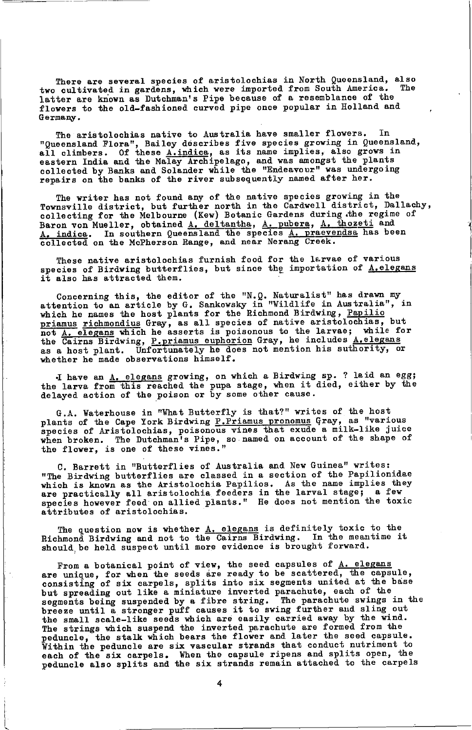There are several species of aristolochias in North Queensland, also two cultivated in gardens, which were imported from South America. latter are known as Dutchman's Pipe because of a resemblance of the flowers to the old-fashioned curved pipe once popular in Holland and Germany.

The aristolochias native to Australia have smaller flowers. In The arts but the Bailey describes five species growing in Queensland,<br>"Queensland Flora", Bailey describes five species growing in Queensland,<br>all climbers. Of these <u>A, indice</u>, as its name implies, also grows in<br>eastern repairs on the banks of the river subsequently named after her.

The writer has not found any of the native species growing in the Townsville district, but further north in the Cardwell district. Dallachy. collecting for the Melbourne (Kew) Botanic Gardens during the regime of<br>Baron von Mueller, obtained A. deltantha, A. pubera, A. thozeti and<br>A. indica. In southern Queensland the species A. praevendsa has been collected on the McPherson Range, and near Nerang Creek.

These native aristolochias furnish food for the larvae of various species of Birdwing butterflies, but since the importation of A.elegans it also has attracted them.

Concerning this, the editor of the "N.Q. Naturalist" has drawn my attention to an article by G. Sankowsky in "Wildlife in Australia", in which he names the host plants for the Richmond Birdwing, Papilio priamus richmondius Gray, as all species of native aristolochias, but not A. elegans which he asserts is poisonous to the larvae; while for the Cairns Birdwing, P. priamus euphorion Gray, he includes A.elegans<br>as a host plant. Unfortunately he does not mention his suthority, or whether he made observations himself.

I have an A. elegans growing, on which a Birdwing sp. ? laid an egg; the larva from this reached the pupa stage, when it died, either by the delayed action of the poison or by some other cause.

G.A. Waterhouse in "What Butterfly is that?" writes of the host plants of the Cape York Birdwing P. Priamus pronomus Gray, as "various species of Aristolochias, poisonous vines that exude a milk-like juice when broken. The Dutchman's Pipe, so named on account of the shape of<br>the flower, is one of these vines."

C. Barrett in "Butterflies of Australia and New Guinea" writes: "The Birdwing butterflies are classed in a section of the Papilionidae which is known as the Aristolochia Papilios. As the name implies they are practically all aristolochia feeders in the larval stage; a few species however feed on allied plants." He does not mention the toxic attributes of aristolochias.

The question now is whether A. elegans is definitely toxic to the Richmond Birdwing and not to the Cairns Birdwing. In the meantime it should be held suspect until more evidence is brought forward.

From a botanical point of view, the seed capsules of  $A$ . elegans are unique, for when the seeds are ready to be scattered, the capsule, consisting of six carpels, splits into six segments united at the base but spreading out like a miniature inverted parachute, each of the segments being suspended by a fibre string. The parachute swings in the breeze until a stronger puff causes it to swing further and sling out the small scale-like seeds which are easily carried away by the wind.<br>The strings which suspend the inverted parachute are formed from the The scrings which suspend the invertied parachute are formed from the reduction, the stalk which bears the flower and later the seed capsule.<br>Within the peduncle are six vascular strands that conduct nutriment to each of t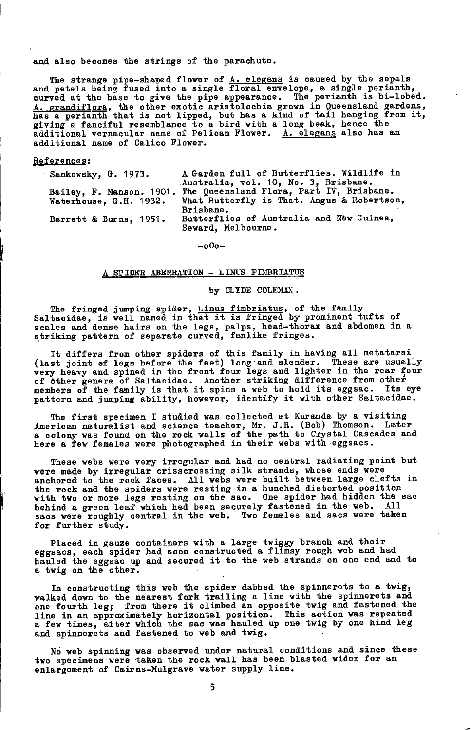#### and also becomes the strings of the parachute.

The strange pipe-shaped flower of  $A$ , elegans is caused by the sepals<br>and petals being fused into a single floral envelope, a single perianth,<br>curved at the base to give the pipe appearance. The perianth is bi-lobed.<br> $A$ giving a fanciful resemblance to a bird with a long beak, hence the additional vernacular name of Pelican Flower. A. elegans also has an additional name of Calico Flower.

## References:

| Sankowsky, G. 1973.      | A Garden full of Butterflies. Wildlife in  |
|--------------------------|--------------------------------------------|
|                          | Australia, vol. 10, No. 3, Brisbane.       |
| Bailey, F. Manson. 1901. | The Queensland Flora, Part IV, Brisbane.   |
| Waterhouse, G.H. 1932.   | What Butterfly is That. Angus & Robertson, |
|                          | Brisbane.                                  |
| Barrett & Burns. 1951.   | Butterflies of Australia and New Guinea,   |
|                          | Seward, Melbourne.                         |

 $-000-$ 

#### A SPIDER ABERRATION - LINUS FIMBRIATUS

#### by CLYDE COLEMAN.

The fringed jumping spider, <u>Linus fimbriatus</u>, of the family Saltacidae, is well named in that it is fringed by prominent tufts of scales and dense hairs on the legs, palps, head-thorax and abdomen in a<br>striking pattern of separate curved, fanlike fringes.

It differs from other spiders of this family in having all metatarsi (last joint of legs before the feet) long and slender. These are usually very heavy and spined in the front four legs and lighter in the rear four of other general of Saltacidae. Another striking difference from other<br>members of the family is that it spins a web to hold its eggsac. Its eye<br>pattern and jumping ability, however, identify it with other Saltacidae.

The first specimen I studied was collected at Kuranda by a visiting American naturalist and science teacher, Mr. J.R. (Bob) Thomson. Later<br>a colony was found on the rock walls of the path to Crystal Cascades and here a few females were photographed in their webs with eggsacs.

These webs were very irregular and had no central radiating point but were made by irregular crisscrossing silk strands, whose ends were anchored to the rock faces. All webs were built between large clefts in the rock and the spiders were resting in a hunched distorted position with two or more legs resting on the sac. One spider had hidden the sac<br>behind a green leaf which had been securely fastened in the web. All sacs were roughly central in the web. Two females and sacs were taken for further study.

Placed in gauze containers with a large twiggy branch and their eggsacs, each spider had soon constructed a flimsy rough web and had hauled the eggsac up and secured it to the web strands on one end and to a twig on the other.

In constructing this web the spider dabbed the spinnerets to a twig, walked down to the nearest fork trailing a line with the spinnerets and one fourth leg; from there it climbed an opposite twig and fastened the line in an approximately horizontal position. This action was repeated<br>a few times, after which the sac was hauled up one twig by one hind leg and spinnerets and fastened to web and twig.

No web spinning was observed under natural conditions and since these two specimens were taken the rock wall has been blasted wider for an enlargement of Cairns-Mulgrave water supply line.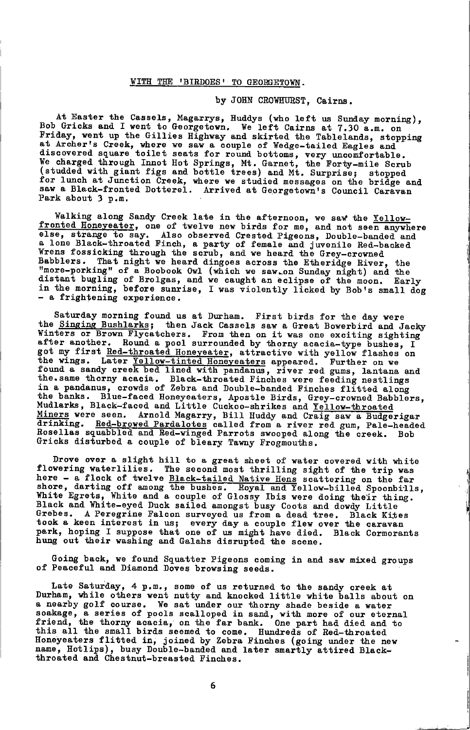#### WITH THE 'BIRDOES' TO GEORGETOWN.

## by JOHN CROWHURST, Cairns.

At Easter the Cassels, Magarrys, Huddys (who left us Sunday morning), Bob Gricks and I went to Georgetown. We left Cairns at 7.30 a.m. on Briday, went up the Gillies Highway and Skirted the fable lands, stopping<br>at Archer's Creek, where we saw a couple of Wedge-tailed Eagles and<br>discovered square toilet seats for round bottoms, very uncomfortable.<br>We charged for lunch at Junction Creek, where we studied messages on the bridge and saw a Black-fronted Dotterel. Arrived at Georgetown's Council Caravan Park about 3 p.m.

Walking along Sandy Creek late in the afternoon, we saw the Yellowfronted Honeyeater, one of twelve new birds for me, and not seen anywhere else, strange to say. Also observed Crested Pigeons, Double-banded and a lone Black-throated Finch, a party of female and juvenile Red-backed<br>Wrens fossicking through the scrub, and we heard the Grey-crowned<br>R-bill-cossicking through the scrub, and we heard the Grey-crowned Babblers. That night we heard dingoes across the Etheridge River, the "more-porking" of a Boobook Owl (which we saw on Sunday night) and the distant bugling of Brolgas, and we caught an eclipse of the moon. Early in the morning, before sunrise, I was violently licked by Bob's small dog<br>- a frightening experience.

Saturday morning found us at Durham. First birds for the day were the Singing Bushlarks; then Jack Cassels saw a Great Bowerbird and Jacky Winters or Brown Flycatchers. From then on it was one exciting sighting after another. Round a pool surrounded by thorny acacia-type bushes, I got my first Red-throated Honeyeater, attractive with yellow flashes on the wings. Later Yellow-tinted Honeyeaters appeared. Further on we found a sandy creek bed lined with pandanus, river red gums, lantana and the same thorny acacia. Black-throated Finches were feeding nestlings in a pandanus, crowds of Zebra and Double-banded Finches flitted along the banks. Blue-faced Honeyeaters, Apostle Birds, Grey-crowned Babblers, Mudlarks, Black-faced and Little Cuckco-shrikes and Yellow-throated Miners were seen. Arnold Magarry, Bill Huddy and Craig saw a Budgerigar drinking. Red-browed Pardalotes called from a river red gum, Pale-headed<br>Rosellas squabbled and Red-winged Parrots swooped along the creek. Bob<br>Gricks disturbed a couple of bleary Tawny Frogmouths.

Drove over a slight hill to a great sheet of water covered with white flowering waterlilies. The second most thrilling sight of the trip was here - a flock of twelve Black-tailed Native Hens scattering on the far<br>shore, darting off among the bushes. Royal and Tellow-billed Spoonbills,<br>White Egrets, White and a couple of Glossy Ibis were doing their thing.<br>Black Grebes. A Peregrine Falcon surveyed us from a dead tree. Black Kites took a keen interest in us; every day a couple flew over the caravan park, hoping I suppose that one of us might have died. Black Cormorants hung out their washing and Galahs disrupted the scene.

Going back, we found Squatter Pigeons coming in and saw mixed groups of Peaceful and Diamond Doves browsing seeds.

Late Saturday, 4 p.m., some of us returned to the sandy creek at Durham, while others went nutty and knocked little white balls about on summary with course. We sat under our thorny shade beside a water<br>soakage, a series of pools scalloped in sand, with more of our eternal<br>friend, the thorny acacia, on the far bank. One part had died and to<br>this all the sma Honeyeaters flitted in, joined by Zebra Finches (going under the new name, Hotlips), busy Double-banded and later smartly attired Blackthroated and Chestnut-breasted Finches.

6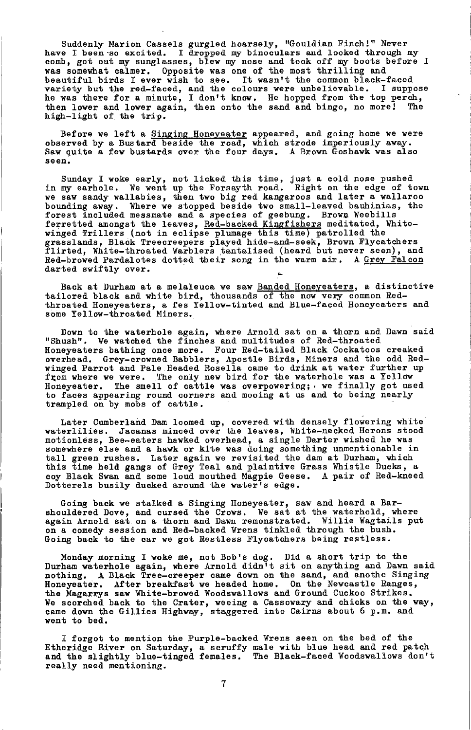Suddenly Marion Cassels gurgled hoarsely, "Gouldian Finch!" Never<br>have I been so excited. I dropped my binoculars and looked through my comb, got out my sunglasses, blew my nose and took off my boots before I was somewhat calmer. Opposite was one of the most thrilling and was some of the selected benefit the common black-faced<br>variety but the red-faced, and the colours were unbelievable. I suppose<br>he was there for a minute, I don't know. He hopped from the top perch,<br>then lower and lower ag high-light of the trip.

Before we left a Singing Honeyeater appeared, and going home we were<br>observed by a Bustard beside the road, which strode imperiously away.<br>Saw quite a few bustards over the four days. A Brown Goshawk was also seen.

Sunday I woke early, not licked this time, just a cold nose pushed<br>in my earhole. We went up the Forsayth road. Right on the edge of town we saw sandy wallabies, then two big red kangaroos and later a wallaroo bounding away. Where we stopped beside two small-leaved bauhinias, the forest included messnate and a species of geebung. Brown Weebills<br>ferretted amongst the leaves, Red-backed Kingfishers meditated, White-<br>winged Trillers (not in eclipse plumage this time) patrolled the grasslands, Black Treecreepers played hide-and-seek, Brown Flycatchers flirted, White-throated Warblers tantalised (heard but never seen), and Red-browed Pardalotes dotted their song in the warm air. A Grey Falcon darted swiftly over.

Back at Durham at a melaleuca we saw Banded Honeyeaters, a distinctive tailored black and white bird, thousands of the now very common Redthroated Honeyeaters, a fes Yellow-tinted and Blue-faced Honeyeaters and some Yellow-throated Miners.

Down to the waterhole again, where Arnold sat on a thorn and Dawn said "Shush". We watched the finches and multitudes of Red-throated Honeyeaters bathing once more. Four Red-tailed Black Cockatoos creaked overhead. Grey-crowned Babblers, Apostle Birds, Miners and the odd Redwinged Parrot and Pale Headed Rosella came to drink at water further up from where we were. The only new bird for the waterhole was a Yellow Honeyeater. The smell of cattle was overpowering; we finally got used to faces appearing round corners and mooing at us and to being nearly trampled on by mobs of cattle.

Later Cumberland Dam loomed up, covered with densely flowering white<br>waterlilies. Jacanas minced over the leaves, White-necked Herons stood motionless, Bee-eaters hawked overhead, a single Darter wished he was somewhere else and a hawk or kite was doing something unmentionable in tall green rushes. Later again we revisited the dam at Durham, which this time held gangs of Grey Teal and plaintive Grass Whistle Ducks, a coy Black Swan and some loud mouthed Magpie Geese. A pair of Red-kneed Dotterels busily ducked around the water's edge.

Going back we stalked a Singing Honeyeater, saw and heard a Barshouldered Dove, and cursed the Crows. We sat at the waterhold, where<br>again Arnold sat on a thorn and Dawn remonstrated. Willie Wagtails put on a comedy session and Red-backed Wrens tinkled through the bush. Going back to the car we got Restless Flycatchers being restless.

Monday morning I woke me, not Bob's dog. Did a short trip to the Durham waterhole again, where Arnold didn't sit on anything and Dawn said nothing. A Black Tree-creeper came down on the sand, and anothe Singing<br>Honeyeater. After breakfast we headed home. On the Newcastle Ranges,<br>the Magarrys saw White-browed Woodswallows and Ground Cuckoo Strikes. We scorched back to the Crater, weeing a Cassowary and chicks on the way, came down the Gillies Highway, staggered into Cairns about 6 p.m. and went to bed.

I forgot to mention the Purple-backed Wrens seen on the bed of the Etheridge River on Saturday, a scruffy male with blue head and red patch and the slightly blue-tinged females. The Black-faced Woodswallows don't really need mentioning.

 $\overline{7}$